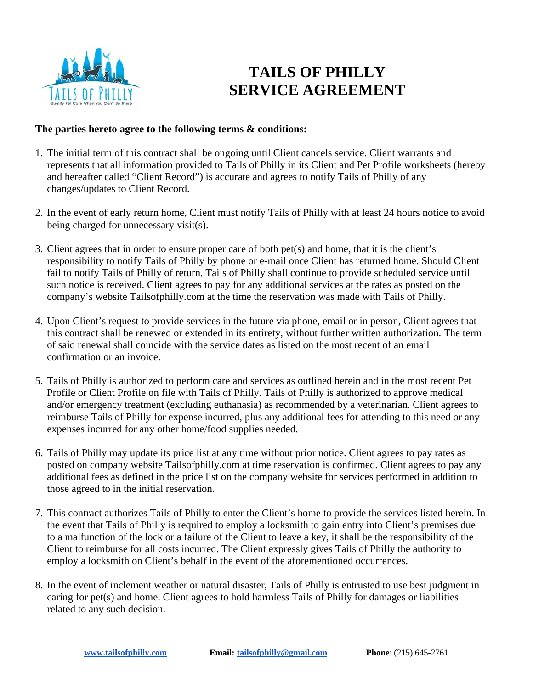

## **TAILS OF PHILLY SERVICE AGREEMENT**

## **The parties hereto agree to the following terms & conditions:**

- 1. The initial term of this contract shall be ongoing until Client cancels service. Client warrants and represents that all information provided to Tails of Philly in its Client and Pet Profile worksheets (hereby and hereafter called "Client Record") is accurate and agrees to notify Tails of Philly of any changes/updates to Client Record.
- 2. In the event of early return home, Client must notify Tails of Philly with at least 24 hours notice to avoid being charged for unnecessary visit(s).
- 3. Client agrees that in order to ensure proper care of both pet(s) and home, that it is the client's responsibility to notify Tails of Philly by phone or e-mail once Client has returned home. Should Client fail to notify Tails of Philly of return, Tails of Philly shall continue to provide scheduled service until such notice is received. Client agrees to pay for any additional services at the rates as posted on the company's website Tailsofphilly.com at the time the reservation was made with Tails of Philly.
- 4. Upon Client's request to provide services in the future via phone, email or in person, Client agrees that this contract shall be renewed or extended in its entirety, without further written authorization. The term of said renewal shall coincide with the service dates as listed on the most recent of an email confirmation or an invoice.
- 5. Tails of Philly is authorized to perform care and services as outlined herein and in the most recent Pet Profile or Client Profile on file with Tails of Philly. Tails of Philly is authorized to approve medical and/or emergency treatment (excluding euthanasia) as recommended by a veterinarian. Client agrees to reimburse Tails of Philly for expense incurred, plus any additional fees for attending to this need or any expenses incurred for any other home/food supplies needed.
- 6. Tails of Philly may update its price list at any time without prior notice. Client agrees to pay rates as posted on company website Tailsofphilly.com at time reservation is confirmed. Client agrees to pay any additional fees as defined in the price list on the company website for services performed in addition to those agreed to in the initial reservation.
- 7. This contract authorizes Tails of Philly to enter the Client's home to provide the services listed herein. In the event that Tails of Philly is required to employ a locksmith to gain entry into Client's premises due to a malfunction of the lock or a failure of the Client to leave a key, it shall be the responsibility of the Client to reimburse for all costs incurred. The Client expressly gives Tails of Philly the authority to employ a locksmith on Client's behalf in the event of the aforementioned occurrences.
- 8. In the event of inclement weather or natural disaster, Tails of Philly is entrusted to use best judgment in caring for pet(s) and home. Client agrees to hold harmless Tails of Philly for damages or liabilities related to any such decision.